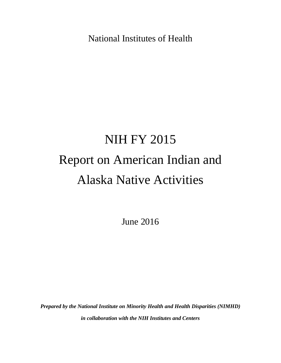National Institutes of Health

# NIH FY 2015 Report on American Indian and Alaska Native Activities

June 2016

*Prepared by the National Institute on Minority Health and Health Disparities (NIMHD) in collaboration with the NIH Institutes and Centers*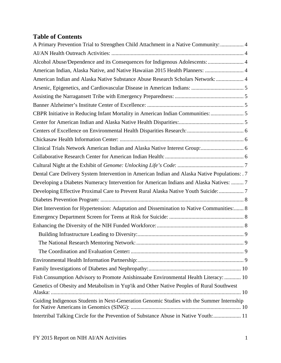# **Table of Contents**

| A Primary Prevention Trial to Strengthen Child Attachment in a Native Community:  4            |  |
|------------------------------------------------------------------------------------------------|--|
|                                                                                                |  |
| Alcohol Abuse/Dependence and its Consequences for Indigenous Adolescents:  4                   |  |
| American Indian, Alaska Native, and Native Hawaiian 2015 Health Planners:  4                   |  |
| American Indian and Alaska Native Substance Abuse Research Scholars Network:  4                |  |
|                                                                                                |  |
|                                                                                                |  |
|                                                                                                |  |
| CBPR Initiative in Reducing Infant Mortality in American Indian Communities:  5                |  |
|                                                                                                |  |
|                                                                                                |  |
|                                                                                                |  |
|                                                                                                |  |
|                                                                                                |  |
|                                                                                                |  |
| Dental Care Delivery System Intervention in American Indian and Alaska Native Populations: . 7 |  |
| Developing a Diabetes Numeracy Intervention for American Indians and Alaska Natives:  7        |  |
| Developing Effective Proximal Care to Prevent Rural Alaska Native Youth Suicide:  7            |  |
|                                                                                                |  |
| Diet Intervention for Hypertension: Adaptation and Dissemination to Native Communities: 8      |  |
|                                                                                                |  |
|                                                                                                |  |
|                                                                                                |  |
|                                                                                                |  |
|                                                                                                |  |
|                                                                                                |  |
|                                                                                                |  |
| Fish Consumption Advisory to Promote Anishinsaabe Environmental Health Literacy:  10           |  |
| Genetics of Obesity and Metabolism in Yup'ik and Other Native Peoples of Rural Southwest       |  |
| Guiding Indigenous Students in Next-Generation Genomic Studies with the Summer Internship      |  |
| Intertribal Talking Circle for the Prevention of Substance Abuse in Native Youth: 11           |  |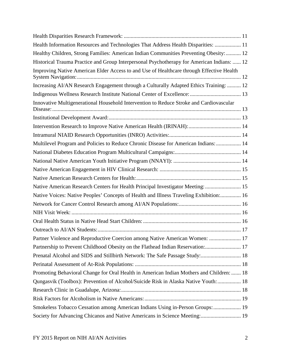| Health Information Resources and Technologies That Address Health Disparities:  11         |  |
|--------------------------------------------------------------------------------------------|--|
| Healthy Children, Strong Families: American Indian Communities Preventing Obesity:  12     |  |
| Historical Trauma Practice and Group Interpersonal Psychotherapy for American Indians:  12 |  |
| Improving Native American Elder Access to and Use of Healthcare through Effective Health   |  |
| Increasing AI/AN Research Engagement through a Culturally Adapted Ethics Training:  12     |  |
|                                                                                            |  |
| Innovative Multigenerational Household Intervention to Reduce Stroke and Cardiovascular    |  |
|                                                                                            |  |
|                                                                                            |  |
|                                                                                            |  |
| Multilevel Program and Policies to Reduce Chronic Disease for American Indians:  14        |  |
|                                                                                            |  |
|                                                                                            |  |
|                                                                                            |  |
|                                                                                            |  |
| Native American Research Centers for Health Principal Investigator Meeting:  15            |  |
| Native Voices: Native Peoples' Concepts of Health and Illness Traveling Exhibition: 16     |  |
|                                                                                            |  |
|                                                                                            |  |
|                                                                                            |  |
|                                                                                            |  |
| Partner Violence and Reproductive Coercion among Native American Women:  17                |  |
| Partnership to Prevent Childhood Obesity on the Flathead Indian Reservation: 17            |  |
| Prenatal Alcohol and SIDS and Stillbirth Network: The Safe Passage Study: 18               |  |
|                                                                                            |  |
| Promoting Behavioral Change for Oral Health in American Indian Mothers and Children:  18   |  |
| Qungasvik (Toolbox): Prevention of Alcohol/Suicide Risk in Alaska Native Youth:  18        |  |
|                                                                                            |  |
|                                                                                            |  |
| Smokeless Tobacco Cessation among American Indians Using in-Person Groups:  19             |  |
| Society for Advancing Chicanos and Native Americans in Science Meeting: 19                 |  |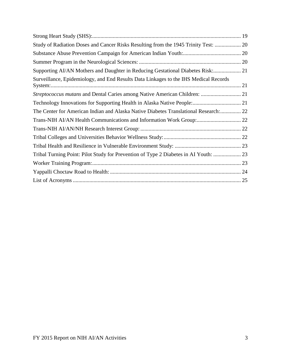| Study of Radiation Doses and Cancer Risks Resulting from the 1945 Trinity Test:  20  |  |
|--------------------------------------------------------------------------------------|--|
|                                                                                      |  |
|                                                                                      |  |
| Supporting AI/AN Mothers and Daughter in Reducing Gestational Diabetes Risk: 21      |  |
| Surveillance, Epidemiology, and End Results Data Linkages to the IHS Medical Records |  |
| Streptococcus mutans and Dental Caries among Native American Children:  21           |  |
|                                                                                      |  |
| The Center for American Indian and Alaska Native Diabetes Translational Research: 22 |  |
| Trans-NIH AI/AN Health Communications and Information Work Group: 22                 |  |
|                                                                                      |  |
|                                                                                      |  |
|                                                                                      |  |
| Tribal Turning Point: Pilot Study for Prevention of Type 2 Diabetes in AI Youth:  23 |  |
|                                                                                      |  |
|                                                                                      |  |
|                                                                                      |  |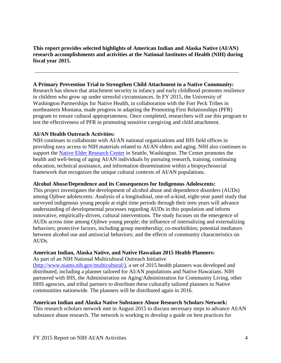**This report provides selected highlights of American Indian and Alaska Native (AI/AN) research accomplishments and activities at the National Institutes of Health (NIH) during fiscal year 2015.** 

# <span id="page-4-0"></span>**A Primary Prevention Trial to Strengthen Child Attachment in a Native Community:**

Research has shown that attachment security in infancy and early childhood promotes resilience in children who grow up under stressful circumstances. In FY 2015, the University of Washington Partnerships for Native Health, in collaboration with the Fort Peck Tribes in northeastern Montana, made progress in adapting the Promoting First Relationships (PFR) program to ensure cultural appropriateness. Once completed, researchers will use this program to test the effectiveness of PFR in promoting sensitive caregiving and child attachment.

#### <span id="page-4-1"></span>**AI/AN Health Outreach Activities:**

NIH continues to collaborate with AI/AN national organizations and IHS field offices in providing easy access to NIH materials related to AI/AN elders and aging. NIH also continues to support the [Native Elder Research](http://www.ucdenver.edu/academics/colleges/PublicHealth/research/centers/CAIANH/NERC/Pages/nerc.aspx) Center in Seattle, Washington. The Center promotes the health and well-being of aging AI/AN individuals by pursuing research, training, continuing education, technical assistance, and information dissemination within a biopsychosocial framework that recognizes the unique cultural contexts of AI/AN populations.

#### <span id="page-4-2"></span>**Alcohol Abuse/Dependence and its Consequences for Indigenous Adolescents:**

This project investigates the development of alcohol abuse and dependence disorders (AUDs) among Ojibwe adolescents. Analysis of a longitudinal, one-of-a-kind, eight-year panel study that surveyed indigenous young people at eight time periods through their teen years will advance understanding of developmental processes regarding AUDs in this population and inform innovative, empirically-driven, cultural interventions. The study focuses on the emergence of AUDs across time among Ojibwe young people; the influence of internalizing and externalizing behaviors; protective factors, including group membership; co-morbidities; potential mediators between alcohol use and antisocial behaviors; and the effects of community characteristics on AUDs.

#### <span id="page-4-3"></span>**American Indian, Alaska Native, and Native Hawaiian 2015 Health Planners:**

As part of an NIH National Multicultural Outreach Initiative [\(http://www.niams.nih.gov/multicultural/\)](http://www.niams.nih.gov/multicultural/), a set of 2015 health planners was developed and distributed, including a planner tailored for AI/AN populations and Native Hawaiians. NIH partnered with IHS, the Administration on Aging/Administration for Community Living, other HHS agencies, and tribal partners to distribute these culturally tailored planners to Native communities nationwide. The planners will be distributed again in 2016.

# <span id="page-4-4"></span>**American Indian and Alaska Native Substance Abuse Research Scholars Network:**

This research scholars network met in August 2015 to discuss necessary steps to advance AI/AN substance abuse research. The network is working to develop a guide on best practices for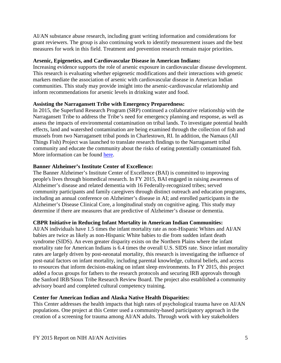AI/AN substance abuse research, including grant writing information and considerations for grant reviewers. The group is also continuing work to identify measurement issues and the best measures for work in this field. Treatment and prevention research remain major priorities.

# <span id="page-5-0"></span>**Arsenic, Epigenetics, and Cardiovascular Disease in American Indians:**

Increasing evidence supports the role of arsenic exposure in cardiovascular disease development. This research is evaluating whether epigenetic modifications and their interactions with genetic markers mediate the association of arsenic with cardiovascular disease in American Indian communities. This study may provide insight into the arsenic-cardiovascular relationship and inform recommendations for arsenic levels in drinking water and food.

#### <span id="page-5-1"></span>**Assisting the Narragansett Tribe with Emergency Preparedness:**

In 2015, the Superfund Research Program (SRP) continued a collaborative relationship with the Narragansett Tribe to address the Tribe's need for emergency planning and response, as well as assess the impacts of environmental contamination on tribal lands. To investigate potential health effects, land and watershed contamination are being examined through the collection of fish and mussels from two Narragansett tribal ponds in Charlestown, RI. In addition, the Namaus (All Things Fish) Project was launched to translate research findings to the Narragansett tribal community and educate the community about the risks of eating potentially contaminated fish. More information can be found [here.](https://tools.niehs.nih.gov/srp/1/programs/factsheets/BrownUniversitywithlinks_508.pdf)

#### <span id="page-5-2"></span>**Banner Alzheimer's Institute Center of Excellence:**

The Banner Alzheimer's Institute Center of Excellence (BAI) is committed to improving people's lives through biomedical research. In FY 2015, BAI engaged in raising awareness of Alzheimer's disease and related dementia with 16 Federally-recognized tribes; served community participants and family caregivers through distinct outreach and education programs, including an annual conference on Alzheimer's disease in AI; and enrolled participants in the Alzheimer's Disease Clinical Core, a longitudinal study on cognitive aging. This study may determine if there are measures that are predictive of Alzheimer's disease or dementia.

#### <span id="page-5-3"></span>**CBPR Initiative in Reducing Infant Mortality in American Indian Communities:**

AI/AN individuals have 1.5 times the infant mortality rate as non-Hispanic Whites and AI/AN babies are twice as likely as non-Hispanic White babies to die from sudden infant death syndrome (SIDS). An even greater disparity exists on the Northern Plains where the infant mortality rate for American Indians is 6.4 times the overall U.S. SIDS rate. Since infant mortality rates are largely driven by post-neonatal mortality, this research is investigating the influence of post-natal factors on infant mortality, including parental knowledge, cultural beliefs, and access to resources that inform decision-making on infant sleep environments. In FY 2015, this project added a focus groups for fathers to the research protocols and securing IRB approvals through the Sanford IRB/Sioux Tribe Research Review Board. The project also established a community advisory board and completed cultural competency training.

#### <span id="page-5-4"></span>**Center for American Indian and Alaska Native Health Disparities:**

This Center addresses the health impacts that high rates of psychological trauma have on AI/AN populations. One project at this Center used a community-based participatory approach in the creation of a screening for trauma among AI/AN adults. Through work with key stakeholders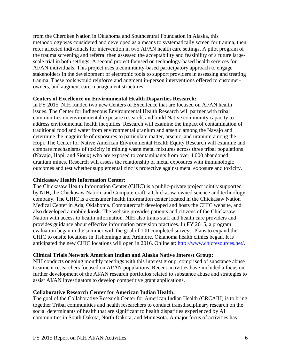from the Cherokee Nation in Oklahoma and Southcentral Foundation in Alaska, this methodology was considered and developed as a means to systematically screen for trauma, then refer affected individuals for intervention in two AI/AN health care settings. A pilot program of the trauma screening and referral then assessed the acceptability and feasibility of a future largescale trial in both settings. A second project focused on technology-based health services for AI/AN individuals. This project uses a community-based participatory approach to engage stakeholders in the development of electronic tools to support providers in assessing and treating trauma. These tools would reinforce and augment in-person interventions offered to customerowners, and augment care-management structures.

#### <span id="page-6-0"></span>**Centers of Excellence on Environmental Health Disparities Research:**

In FY 2015, NIH funded two new Centers of Excellence that are focused on AI/AN health issues. The Center for Indigenous Environmental Health Research will partner with tribal communities on environmental exposure research, and build Native community capacity to address environmental health inequities. Research will examine the impact of contamination of traditional food and water from environmental uranium and arsenic among the Navajo and determine the magnitude of exposures to particulate matter, arsenic, and uranium among the Hopi. The Center for Native American Environmental Health Equity Research will examine and compare mechanisms of toxicity in mining waste metal mixtures across three tribal populations (Navajo, Hopi, and Sioux) who are exposed to contaminants from over 4,000 abandoned uranium mines. Research will assess the relationship of metal exposures with immunologic outcomes and test whether supplemental zinc is protective against metal exposure and toxicity.

#### <span id="page-6-1"></span>**Chickasaw Health Information Center:**

The Chickasaw Health Information Center (CHIC) is a public-private project jointly supported by NIH, the Chickasaw Nation, and Computercraft, a Chickasaw-owned science and technology company. The CHIC is a consumer health information center located in the Chickasaw Nation Medical Center in Ada, Oklahoma. Computercraft developed and hosts the CHIC website, and also developed a mobile kiosk. The website provides patients and citizens of the Chickasaw Nation with access to health information. NIH also trains staff and health care providers and provides guidance about effective information provision practices. In FY 2015, a program evaluation began in the summer with the goal of 100 completed surveys. Plans to expand the CHIC to onsite locations in Tishomingo and Ardmore, Oklahoma health clinics began. It is anticipated the new CHIC locations will open in 2016. Online at: [http://www.chicresources.net/.](http://www.chicresources.net/)

# <span id="page-6-2"></span>**Clinical Trials Network American Indian and Alaska Native Interest Group:**

NIH conducts ongoing monthly meetings with this interest group, comprised of substance abuse treatment researchers focused on AI/AN populations. Recent activities have included a focus on further development of the AI/AN research portfolios related to substance abuse and strategies to assist AI/AN investigators to develop competitive grant applications.

# <span id="page-6-3"></span>**Collaborative Research Center for American Indian Health:**

The goal of the Collaborative Research Center for American Indian Health (CRCAIH) is to bring together Tribal communities and health researchers to conduct transdisciplinary research on the social determinants of health that are significant to health disparities experienced by AI communities in South Dakota, North Dakota, and Minnesota. A major focus of activities has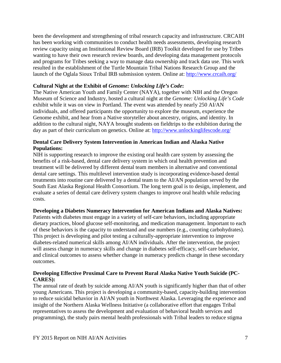been the development and strengthening of tribal research capacity and infrastructure. CRCAIH has been working with communities to conduct health needs assessments, developing research review capacity using an Institutional Review Board (IRB) Toolkit developed for use by Tribes wanting to have their own research review boards, and developing data management protocols and programs for Tribes seeking a way to manage data ownership and track data use. This work resulted in the establishment of the Turtle Mountain Tribal Nations Research Group and the launch of the Oglala Sioux Tribal IRB submission system. Online at: <http://www.crcaih.org/>

# <span id="page-7-0"></span>**Cultural Night at the Exhibit of** *Genome: Unlocking Life's Code***:**

The Native American Youth and Family Center (NAYA), together with NIH and the Oregon Museum of Science and Industry, hosted a cultural night at the *Genome: Unlocking Life's Code* exhibit while it was on view in Portland. The event was attended by nearly 250 AI/AN individuals, and offered participants the opportunity to explore the museum, experience the Genome exhibit, and hear from a Native storyteller about ancestry, origins, and identity. In addition to the cultural night, NAYA brought students on fieldtrips to the exhibition during the day as part of their curriculum on genetics. Online at:<http://www.unlockinglifescode.org/>

# <span id="page-7-1"></span>**Dental Care Delivery System Intervention in American Indian and Alaska Native Populations:**

NIH is supporting research to improve the existing oral health care system by assessing the benefits of a risk-based, dental care delivery system in which oral health prevention and treatment will be delivered by different dental team members in alternative and conventional dental care settings. This multilevel intervention study is incorporating evidence-based dental treatments into routine care delivered by a dental team to the AI/AN population served by the South East Alaska Regional Health Consortium. The long term goal is to design, implement, and evaluate a series of dental care delivery system changes to improve oral health while reducing costs.

#### <span id="page-7-2"></span>**Developing a Diabetes Numeracy Intervention for American Indians and Alaska Natives:**

Patients with diabetes must engage in a variety of self-care behaviors, including appropriate dietary practices, blood glucose self-monitoring, and medication management. Important to each of these behaviors is the capacity to understand and use numbers (e.g., counting carbohydrates). This project is developing and pilot testing a culturally-appropriate intervention to improve diabetes-related numerical skills among AI/AN individuals. After the intervention, the project will assess change in numeracy skills and change in diabetes self-efficacy, self-care behavior, and clinical outcomes to assess whether change in numeracy predicts change in these secondary outcomes.

# <span id="page-7-3"></span>**Developing Effective Proximal Care to Prevent Rural Alaska Native Youth Suicide (PC-CARES):**

The annual rate of death by suicide among AI/AN youth is significantly higher than that of other young Americans. This project is developing a community-based, capacity-building intervention to reduce suicidal behavior in AI/AN youth in Northwest Alaska. Leveraging the experience and insight of the Northern Alaska Wellness Initiative (a collaborative effort that engages Tribal representatives to assess the development and evaluation of behavioral health services and programming), the study pairs mental health professionals with Tribal leaders to reduce stigma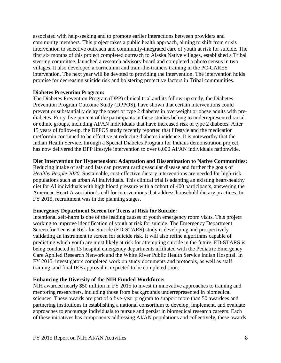associated with help-seeking and to promote earlier interactions between providers and community members. This project takes a public health approach, aiming to shift from crisis intervention to selective outreach and community-integrated care of youth at risk for suicide. The first six months of this project completed outreach to Alaska Native villages, established a Tribal steering committee, launched a research advisory board and completed a photo census in two villages. It also developed a curriculum and train-the-trainers training in the PC-CARES intervention. The next year will be devoted to providing the intervention. The intervention holds promise for decreasing suicide risk and bolstering protective factors in Tribal communities.

#### <span id="page-8-0"></span>**Diabetes Prevention Program:**

The Diabetes Prevention Program (DPP) clinical trial and its follow-up study, the Diabetes Prevention Program Outcome Study (DPPOS), have shown that certain interventions could prevent or substantially delay the onset of type 2 diabetes in overweight or obese adults with prediabetes. Forty-five percent of the participants in these studies belong to underrepresented racial or ethnic groups, including AI/AN individuals that have increased risk of type 2 diabetes. After 15 years of follow-up, the DPPOS study recently reported that lifestyle and the medication metformin continued to be effective at reducing diabetes incidence. It is noteworthy that the Indian Health Service, through a Special Diabetes Program for Indians demonstration project, has now delivered the DPP lifestyle intervention to over 6,000 AI/AN individuals nationwide.

# <span id="page-8-1"></span>**Diet Intervention for Hypertension: Adaptation and Dissemination to Native Communities:**

Reducing intake of salt and fats can prevent cardiovascular disease and further the goals of *Healthy People 2020*. Sustainable, cost-effective dietary interventions are needed for high-risk populations such as urban AI individuals. This clinical trial is adapting an existing heart-healthy diet for AI individuals with high blood pressure with a cohort of 400 participants, answering the American Heart Association's call for interventions that address household dietary practices. In FY 2015, recruitment was in the planning stages.

# <span id="page-8-2"></span>**Emergency Department Screen for Teens at Risk for Suicide:**

Intentional self-harm is one of the leading causes of youth emergency room visits. This project working to improve identification of youth at risk for suicide. The Emergency Department Screen for Teens at Risk for Suicide (ED-STARS) study is developing and prospectively validating an instrument to screen for suicide risk. It will also refine algorithms capable of predicting which youth are most likely at risk for attempting suicide in the future. ED-STARS is being conducted in 13 hospital emergency departments affiliated with the Pediatric Emergency Care Applied Research Network and the White River Public Health Service Indian Hospital. In FY 2015, investigators completed work on study documents and protocols, as well as staff training, and final IRB approval is expected to be completed soon.

# <span id="page-8-3"></span>**Enhancing the Diversity of the NIH Funded Workforce:**

NIH awarded nearly \$50 million in FY 2015 to invest in innovative approaches to training and mentoring researchers, including those from backgrounds underrepresented in biomedical sciences. These awards are part of a five-year program to support more than 50 awardees and partnering institutions in establishing a national consortium to develop, implement, and evaluate approaches to encourage individuals to pursue and persist in biomedical research careers. Each of these initiatives has components addressing AI/AN populations and collectively, these awards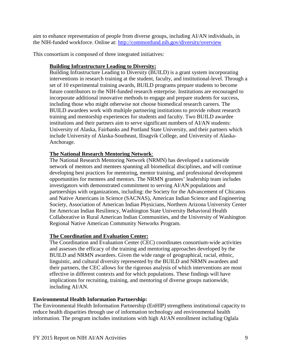aim to enhance representation of people from diverse groups, including AI/AN individuals, in the NIH-funded workforce. Online at:<http://commonfund.nih.gov/diversity/overview>

<span id="page-9-0"></span>This consortium is composed of three integrated initiatives:

# **Building Infrastructure Leading to Diversity:**

Building Infrastructure Leading to Diversity (BUILD) is a grant system incorporating interventions in research training at the student, faculty, and institutional-level. Through a set of 10 experimental training awards, BUILD programs prepare students to become future contributors to the NIH-funded research enterprise. Institutions are encouraged to incorporate additional innovative methods to engage and prepare students for success, including those who might otherwise not choose biomedical research careers. The BUILD awardees work with multiple partnering institutions to provide robust research training and mentorship experiences for students and faculty. Two BUILD awardee institutions and their partners aim to serve significant numbers of AI/AN students: University of Alaska, Fairbanks and Portland State University, and their partners which include University of Alaska-Southeast, Ilisagvik College, and University of Alaska-Anchorage.

#### <span id="page-9-1"></span>**The National Research Mentoring Network**:

The National Research Mentoring Network (NRMN) has developed a nationwide network of mentors and mentees spanning all biomedical disciplines, and will continue developing best practices for mentoring, mentor training, and professional development opportunities for mentees and mentors. The NRMN grantees' leadership team includes investigators with demonstrated commitment to serving AI/AN populations and partnerships with organizations, including: the Society for the Advancement of Chicanos and Native Americans in Science (SACNAS), American Indian Science and Engineering Society, Association of American Indian Physicians, Northern Arizona University Center for American Indian Resiliency, Washington State University Behavioral Health Collaborative in Rural American Indian Communities, and the University of Washington Regional Native American Community Networks Program.

# <span id="page-9-2"></span>**The Coordination and Evaluation Center:**

The Coordination and Evaluation Center (CEC) coordinates consortium-wide activities and assesses the efficacy of the training and mentoring approaches developed by the BUILD and NRMN awardees. Given the wide range of geographical, racial, ethnic, linguistic, and cultural diversity represented by the BUILD and NRMN awardees and their partners, the CEC allows for the rigorous analysis of which interventions are most effective in different contexts and for which populations. These findings will have implications for recruiting, training, and mentoring of diverse groups nationwide, including AI/AN.

# <span id="page-9-3"></span>**Environmental Health Information Partnership:**

The Environmental Health Information Partnership (EnHIP) strengthens institutional capacity to reduce health disparities through use of information technology and environmental health information. The program includes institutions with high AI/AN enrollment including Oglala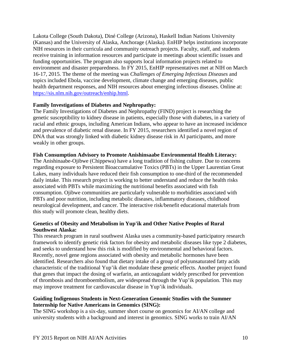Lakota College (South Dakota), Diné College (Arizona), Haskell Indian Nations University (Kansas) and the University of Alaska, Anchorage (Alaska). EnHIP helps institutions incorporate NIH resources in their curricula and community outreach projects. Faculty, staff, and students receive training in information resources and participate in meetings about scientific issues and funding opportunities. The program also supports local information projects related to environment and disaster preparedness. In FY 2015, EnHIP representatives met at NIH on March 16-17, 2015. The theme of the meeting was *Challenges of Emerging Infectious Diseases* and topics included Ebola, vaccine development, climate change and emerging diseases, public health department responses, and NIH resources about emerging infectious diseases. Online at: [https://sis.nlm.nih.gov/outreach/enhip.html.](https://sis.nlm.nih.gov/outreach/enhip.html)

#### <span id="page-10-0"></span>**Family Investigations of Diabetes and Nephropathy:**

The Family Investigations of Diabetes and Nephropathy (FIND) project is researching the genetic susceptibility to kidney disease in patients, especially those with diabetes, in a variety of racial and ethnic groups, including American Indians, who appear to have an increased incidence and prevalence of diabetic renal disease. In FY 2015, researchers identified a novel region of DNA that was strongly linked with diabetic kidney disease risk in AI participants, and more weakly in other groups.

#### <span id="page-10-1"></span>**Fish Consumption Advisory to Promote Anishinsaabe Environmental Health Literacy:**

The Anishinaabe-Ojibwe (Chippewa) have a long tradition of fishing culture. Due to concerns regarding exposure to Persistent Bioaccumulative Toxics (PBTs) in the Upper Laurentian Great Lakes, many individuals have reduced their fish consumption to one-third of the recommended daily intake. This research project is working to better understand and reduce the health risks associated with PBTs while maximizing the nutritional benefits associated with fish consumption. Ojibwe communities are particularly vulnerable to morbidities associated with PBTs and poor nutrition, including metabolic diseases, inflammatory diseases, childhood neurological development, and cancer. The interactive risk/benefit educational materials from this study will promote clean, healthy diets.

# <span id="page-10-2"></span>**Genetics of Obesity and Metabolism in Yup'ik and Other Native Peoples of Rural Southwest Alaska:**

This research program in rural southwest Alaska uses a community-based participatory research framework to identify genetic risk factors for obesity and metabolic diseases like type 2 diabetes, and seeks to understand how this risk is modified by environmental and behavioral factors. Recently, novel gene regions associated with obesity and metabolic hormones have been identified. Researchers also found that dietary intake of a group of polyunsaturated fatty acids characteristic of the traditional Yup'ik diet modulate these genetic effects. Another project found that genes that impact the dosing of warfarin, an anticoagulant widely prescribed for prevention of thrombosis and thromboembolism, are widespread through the Yup'ik population. This may may improve treatment for cardiovascular disease in Yup'ik individuals.

#### <span id="page-10-3"></span>**Guiding Indigenous Students in Next-Generation Genomic Studies with the Summer Internship for Native Americans in Genomics (SING):**

The SING workshop is a six-day, summer short course on genomics for AI/AN college and university students with a background and interest in genomics. SING works to train AI/AN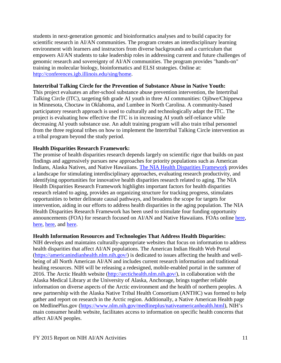students in next-generation genomic and bioinformatics analyses and to build capacity for scientific research in AI/AN communities. The program creates an interdisciplinary learning environment with learners and instructors from diverse backgrounds and a curriculum that empowers AI/AN students to take leadership roles in addressing current and future challenges of genomic research and sovereignty of AI/AN communities. The program provides "hands-on" training in molecular biology, bioinformatics and ELSI strategies. Online at: [http://conferences.igb.illinois.edu/sing/home.](http://conferences.igb.illinois.edu/sing/home)

#### <span id="page-11-0"></span>**Intertribal Talking Circle for the Prevention of Substance Abuse in Native Youth:**

This project evaluates an after-school substance abuse prevention intervention, the Intertribal Talking Circle (ITC), targeting 6th grade AI youth in three AI communities: Ojibwe/Chippewa in Minnesota, Choctaw in Oklahoma, and Lumbee in North Carolina. A community-based participatory research approach is used to culturally and technologically adapt the ITC. The project is evaluating how effective the ITC is in increasing AI youth self-reliance while decreasing AI youth substance use. An adult training program will also train tribal personnel from the three regional tribes on how to implement the Intertribal Talking Circle intervention as a tribal program beyond the study period.

#### <span id="page-11-1"></span>**Health Disparities Research Framework:**

The promise of health disparities research depends largely on scientific rigor that builds on past findings and aggressively pursues new approaches for priority populations such as American Indians, Alaska Natives, and Native Hawaiians. [The NIA Health Disparities Framework](http://www.ncbi.nlm.nih.gov/pubmed/26675362) provides a landscape for stimulating interdisciplinary approaches, evaluating research productivity, and identifying opportunities for innovative health disparities research related to aging. The NIA Health Disparities Research Framework highlights important factors for health disparities research related to aging, provides an organizing structure for tracking progress, stimulates opportunities to better delineate causal pathways, and broadens the scope for targets for intervention, aiding in our efforts to address health disparities in the aging population. The NIA Health Disparities Research Framework has been used to stimulate four funding opportunity announcements (FOA) for research focused on AI/AN and Native Hawaiians. FOAs online [here,](http://grants.nih.gov/grants/guide/rfa-files/RFA-AG-16-022.html) [here,](http://grants.nih.gov/grants/guide/pa-files/PAR-15-349.html) [here,](http://grants.nih.gov/grants/guide/pa-files/PAR-15-350.html) and [here.](http://grants.nih.gov/grants/guide/pa-files/PA-15-293.html)

#### <span id="page-11-2"></span>**Health Information Resources and Technologies That Address Health Disparities:**

NIH develops and maintains culturally-appropriate websites that focus on information to address health disparities that affect AI/AN populations. The American Indian Health Web Portal [\(https://americanindianhealth.nlm.nih.gov/\)](https://americanindianhealth.nlm.nih.gov/) is dedicated to issues affecting the health and wellbeing of all North American AI/AN and includes current research information and traditional healing resources. NIH will be releasing a redesigned, mobile-enabled portal in the summer of 2016. The Arctic Health website [\(http://arctichealth.nlm.nih.gov/\)](http://arctichealth.nlm.nih.gov/), in collaboration with the Alaska Medical Library at the University of Alaska, Anchorage, brings together reliable information on diverse aspects of the Arctic environment and the health of northern peoples. A new partnership with the Alaska Native Tribal Health Consortium (ANTHC) was formed to help gather and report on research in the Arctic region. Additionally, a Native American Health page on MedlinePlus.gov [\(https://www.nlm.nih.gov/medlineplus/nativeamericanhealth.html\)](https://www.nlm.nih.gov/medlineplus/nativeamericanhealth.html), NIH's main consumer health website, facilitates access to information on specific health concerns that affect AI/AN peoples.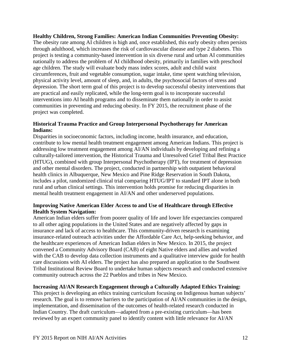<span id="page-12-0"></span>**Healthy Children, Strong Families: American Indian Communities Preventing Obesity:** The obesity rate among AI children is high and, once established, this early obesity often persists through adulthood, which increases the risk of cardiovascular disease and type 2 diabetes. This project is testing a community-based intervention in six diverse rural and urban AI communities nationally to address the problem of AI childhood obesity, primarily in families with preschool age children. The study will evaluate body mass index scores, adult and child waist circumferences, fruit and vegetable consumption, sugar intake, time spent watching television, physical activity level, amount of sleep, and, in adults, the psychosocial factors of stress and depression. The short term goal of this project is to develop successful obesity interventions that are practical and easily replicated, while the long-term goal is to incorporate successful interventions into AI health programs and to disseminate them nationally in order to assist communities in preventing and reducing obesity. In FY 2015, the recruitment phase of the project was completed.

#### <span id="page-12-1"></span>**Historical Trauma Practice and Group Interpersonal Psychotherapy for American Indians:**

Disparities in socioeconomic factors, including income, health insurance, and education, contribute to low mental health treatment engagement among American Indians. This project is addressing low treatment engagement among AI/AN individuals by developing and refining a culturally-tailored intervention, the Historical Trauma and Unresolved Grief Tribal Best Practice (HTUG), combined with group Interpersonal Psychotherapy (IPT), for treatment of depression and other mental disorders. The project, conducted in partnership with outpatient behavioral health clinics in Albuquerque, New Mexico and Pine Ridge Reservation in South Dakota, includes a pilot, randomized clinical trial comparing HTUG/IPT to standard IPT alone in both rural and urban clinical settings. This intervention holds promise for reducing disparities in mental health treatment engagement in AI/AN and other underserved populations.

# <span id="page-12-2"></span>**Improving Native American Elder Access to and Use of Healthcare through Effective Health System Navigation:**

American Indian elders suffer from poorer quality of life and lower life expectancies compared to all other aging populations in the United States and are negatively affected by gaps in insurance and lack of access to healthcare. This community-driven research is examining insurance-related outreach activities under the Affordable Care Act, help-seeking behavior, and the healthcare experiences of American Indian elders in New Mexico. In 2015, the project convened a Community Advisory Board (CAB) of eight Native elders and allies and worked with the CAB to develop data collection instruments and a qualitative interview guide for health care discussions with AI elders. The project has also prepared an application to the Southwest Tribal Institutional Review Board to undertake human subjects research and conducted extensive community outreach across the 22 Pueblos and tribes in New Mexico.

# <span id="page-12-3"></span>**Increasing AI/AN Research Engagement through a Culturally Adapted Ethics Training:**

This project is developing an ethics training curriculum focusing on Indigenous human subjects' research. The goal is to remove barriers to the participation of AI/AN communities in the design, implementation, and dissemination of the outcomes of health-related research conducted in Indian Country. The draft curriculum—adapted from a pre-existing curriculum—has been reviewed by an expert community panel to identify content with little relevance for AI/AN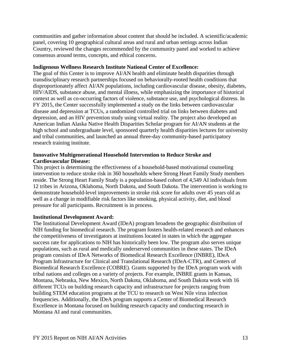communities and gather information about content that should be included. A scientific/academic panel, covering 10 geographical cultural areas and rural and urban settings across Indian Country, reviewed the changes recommended by the community panel and worked to achieve consensus around terms, concepts, and ethical concerns.

#### <span id="page-13-0"></span>**Indigenous Wellness Research Institute National Center of Excellence:**

The goal of this Center is to improve AI/AN health and eliminate health disparities through transdisciplinary research partnerships focused on behaviorally-rooted health conditions that disproportionately affect AI/AN populations, including cardiovascular disease, obesity, diabetes, HIV/AIDS, substance abuse, and mental illness, while emphasizing the importance of historical context as well as co-occurring factors of violence, substance use, and psychological distress. In FY 2015, the Center successfully implemented a study on the links between cardiovascular disease and depression at TCUs, a randomized controlled trial on links between diabetes and depression, and an HIV prevention study using virtual reality. The project also developed an American Indian Alaska Native Health Disparities Scholar program for AI/AN students at the high school and undergraduate level, sponsored quarterly health disparities lectures for university and tribal communities, and launched an annual three-day community-based participatory research training institute.

#### <span id="page-13-1"></span>**Innovative Multigenerational Household Intervention to Reduce Stroke and Cardiovascular Disease:**

This project is determining the effectiveness of a household-based motivational counseling intervention to reduce stroke risk in 360 households where Strong Heart Family Study members reside. The Strong Heart Family Study is a population-based cohort of 4,549 AI individuals from 12 tribes in Arizona, Oklahoma, North Dakota, and South Dakota. The intervention is working to demonstrate household-level improvements in stroke risk score for adults over 45 years old as well as a change in modifiable risk factors like smoking, physical activity, diet, and blood pressure for all participants. Recruitment is in process.

# <span id="page-13-2"></span>**Institutional Development Award:**

The Institutional Development Award (IDeA) program broadens the geographic distribution of NIH funding for biomedical research. The program fosters health-related research and enhances the competitiveness of investigators at institutions located in states in which the aggregate success rate for applications to NIH has historically been low. The program also serves unique populations, such as rural and medically underserved communities in these states. The IDeA program consists of IDeA Networks of Biomedical Research Excellence (INBRE), IDeA Program Infrastructure for Clinical and Translational Research (IDeA-CTR), and Centers of Biomedical Research Excellence (COBRE). Grants supported by the IDeA program work with tribal nations and colleges on a variety of projects. For example, INBRE grants in Kansas, Montana, Nebraska, New Mexico, North Dakota, Oklahoma, and South Dakota work with 16 different TCUs on building research capacity and infrastructure for projects ranging from building STEM education programs at the TCU to research on West Nile virus infection frequencies. Additionally, the IDeA program supports a Center of Biomedical Research Excellence in Montana focused on building research capacity and conducting research in Montana AI and rural communities.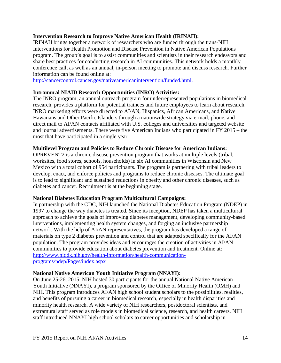#### <span id="page-14-0"></span>**Intervention Research to Improve Native American Health (IRINAH):**

IRINAH brings together a network of researchers who are funded through the trans-NIH Interventions for Health Promotion and Disease Prevention in Native American Populations program. The group's goal is to assist communities and scientists in their research endeavors and share best practices for conducting research in AI communities. This network holds a monthly conference call, as well as an annual, in-person meeting to promote and discuss research. Further information can be found online at:

[http://cancercontrol.cancer.gov/nativeamericanintervention/funded.html.](http://cancercontrol.cancer.gov/nativeamericanintervention/funded.html)

#### <span id="page-14-1"></span>**Intramural NIAID Research Opportunities (INRO) Activities:**

The INRO program, an annual outreach program for underrepresented populations in biomedical research, provides a platform for potential trainees and future employees to learn about research. INRO marketing efforts were directed to AI/AN, Hispanics, African Americans, and Native Hawaiians and Other Pacific Islanders through a nationwide strategy via e-mail, phone, and direct mail to AI/AN contacts affiliated with U.S. colleges and universities and targeted website and journal advertisements. There were five American Indians who participated in FY 2015 – the most that have participated in a single year.

#### <span id="page-14-2"></span>**Multilevel Program and Policies to Reduce Chronic Disease for American Indians:**

OPREVENT2 is a chronic disease prevention program that works at multiple levels (tribal, worksites, food stores, schools, households) in six AI communities in Wisconsin and New Mexico with a total cohort of 954 participants. The program is partnering with tribal leaders to develop, enact, and enforce policies and programs to reduce chronic diseases. The ultimate goal is to lead to significant and sustained reductions in obesity and other chronic diseases, such as diabetes and cancer. Recruitment is at the beginning stage.

#### <span id="page-14-3"></span>**National Diabetes Education Program Multicultural Campaigns:**

In partnership with the CDC, NIH launched the National Diabetes Education Program (NDEP) in 1997 to change the way diabetes is treated. Since its inception, NDEP has taken a multicultural approach to achieve the goals of improving diabetes management, developing community-based interventions, implementing health system changes, and forging an inclusive partnership network. With the help of AI/AN representatives, the program has developed a range of materials on type 2 diabetes prevention and control that are adapted specifically for the AI/AN population. The program provides ideas and encourages the creation of activities in AI/AN communities to provide education about diabetes prevention and treatment. Online at: [http://www.niddk.nih.gov/health-information/health-communication](http://www.niddk.nih.gov/health-information/health-communication-programs/ndep/Pages/index.aspx)[programs/ndep/Pages/index.aspx](http://www.niddk.nih.gov/health-information/health-communication-programs/ndep/Pages/index.aspx)

# <span id="page-14-4"></span>**National Native American Youth Initiative Program (NNAYI):**

On June 25-26, 2015, NIH hosted 30 participants for the annual National Native American Youth Initiative (NNAYI), a program sponsored by the Office of Minority Health (OMH) and NIH. This program introduces AI/AN high school student scholars to the possibilities, realities, and benefits of pursuing a career in biomedical research, especially in health disparities and minority health research. A wide variety of NIH researchers, postdoctoral scientists, and extramural staff served as role models in biomedical science, research, and health careers. NIH staff introduced NNAYI high school scholars to career opportunities and scholarship in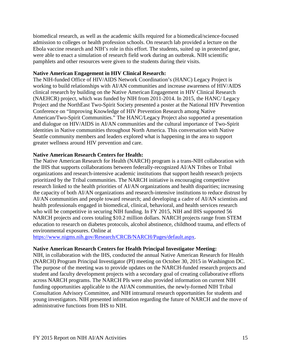biomedical research, as well as the academic skills required for a biomedical/science-focused admission to colleges or health profession schools. On research lab provided a lecture on the Ebola vaccine research and NIH's role in this effort. The students, suited up in protected gear, were able to enact a simulation of research field work during an outbreak. NIH scientific pamphlets and other resources were given to the students during their visits.

#### <span id="page-15-0"></span>**Native American Engagement in HIV Clinical Research:**

The NIH-funded Office of HIV/AIDS Network Coordination's (HANC) Legacy Project is working to build relationships with AI/AN communities and increase awareness of HIV/AIDS clinical research by building on the Native American Engagement in HIV Clinical Research (NAEHCR) project, which was funded by NIH from 2011-2014. In 2015, the HANC/ Legacy Project and the NorthEast Two-Spirit Society presented a poster at the National HIV Prevention Conference on "Improving Knowledge of HIV Prevention Research among Native American/Two-Spirit Communities." The HANC/Legacy Project also supported a presentation and dialogue on HIV/AIDS in AI/AN communities and the cultural importance of Two-Spirit identities in Native communities throughout North America. This conversation with Native Seattle community members and leaders explored what is happening in the area to support greater wellness around HIV prevention and care.

# <span id="page-15-1"></span>**Native American Research Centers for Health:**

The Native American Research for Health (NARCH) program is a trans-NIH collaboration with the IHS that supports collaborations between federally-recognized AI/AN Tribes or Tribal organizations and research-intensive academic institutions that support health research projects prioritized by the Tribal communities. The NARCH initiative is encouraging competitive research linked to the health priorities of AI/AN organizations and health disparities; increasing the capacity of both AI/AN organizations and research-intensive institutions to reduce distrust by AI/AN communities and people toward research; and developing a cadre of AI/AN scientists and health professionals engaged in biomedical, clinical, behavioral, and health services research who will be competitive in securing NIH funding. In FY 2015, NIH and IHS supported 56 NARCH projects and cores totaling \$10.2 million dollars. NARCH projects range from STEM education to research on diabetes protocols, alcohol abstinence, childhood trauma, and effects of environmental exposures. Online at

[https://www.nigms.nih.gov/Research/CRCB/NARCH/Pages/default.aspx.](https://www.nigms.nih.gov/Research/CRCB/NARCH/Pages/default.aspx)

#### <span id="page-15-2"></span>**Native American Research Centers for Health Principal Investigator Meeting:**

NIH, in collaboration with the IHS, conducted the annual Native American Research for Health (NARCH) Program Principal Investigator (PI) meeting on October 30, 2015 in Washington DC. The purpose of the meeting was to provide updates on the NARCH-funded research projects and student and faculty development projects with a secondary goal of creating collaborative efforts across NARCH programs. The NARCH PIs were also provided information on current NIH funding opportunities applicable to the AI/AN communities, the newly-formed NIH Tribal Consultation Advisory Committee, and NIH intramural research opportunities for students and young investigators. NIH presented information regarding the future of NARCH and the move of administrative functions from IHS to NIH.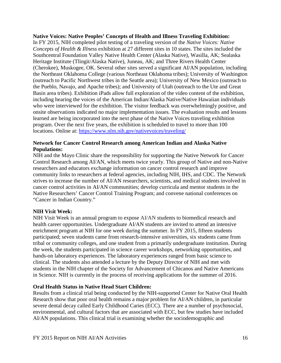#### <span id="page-16-0"></span>**Native Voices: Native Peoples' Concepts of Health and Illness Traveling Exhibition:**

In FY 2015, NIH completed pilot testing of a traveling version of the *Native Voices: Native Concepts of Health & Illness* exhibition at 27 different sites in 10 states. The sites included the Southcentral Foundation Valley Native Health Center (Alaska Native), Wasilla, AK; Sealaska Heritage Institute (Tlingit/Alaska Native), Juneau, AK; and Three Rivers Health Center (Cherokee), Muskogee, OK. Several other sites served a significant AI/AN population, including the Northeast Oklahoma College (various Northeast Oklahoma tribes); University of Washington (outreach to Pacific Northwest tribes in the Seattle area); University of New Mexico (outreach to the Pueblo, Navajo, and Apache tribes); and University of Utah (outreach to the Ute and Great Basin area tribes). Exhibition iPads allow full exploration of the video content of the exhibition, including hearing the voices of the American Indian/Alaska Native/Native Hawaiian individuals who were interviewed for the exhibition. The visitor feedback was overwhelmingly positive, and onsite observations indicated no major implementation issues. The evaluation results and lessons learned are being incorporated into the next phase of the Native Voices traveling exhibition program. Over the next five years, the exhibition is scheduled to travel to more than 100 locations. Online at:<https://www.nlm.nih.gov/nativevoices/traveling/>

# <span id="page-16-1"></span>**Network for Cancer Control Research among American Indian and Alaska Native Populations:**

NIH and the Mayo Clinic share the responsibility for supporting the Native Network for Cancer Control Research among AI/AN, which meets twice yearly. This group of Native and non-Native researchers and educators exchange information on cancer control research and improve community links to researchers at federal agencies, including NIH, IHS, and CDC. The Network strives to increase the number of AI/AN researchers, scientists, and medical students involved in cancer control activities in AI/AN communities; develop curricula and mentor students in the Native Researchers' Cancer Control Training Program; and convene national conferences on "Cancer in Indian Country."

#### <span id="page-16-2"></span>**NIH Vi**s**it Week:**

NIH Visit Week is an annual program to expose AI/AN students to biomedical research and health career opportunities. Undergraduate AI/AN students are invited to attend an intensive enrichment program at NIH for one week during the summer. In FY 2015, fifteen students participated; seven students came from research-intensive universities, six students came from tribal or community colleges, and one student from a primarily undergraduate institution. During the week, the students participated in science career workshops, networking opportunities, and hands-on laboratory experiences. The laboratory experiences ranged from basic science to clinical. The students also attended a lecture by the Deputy Director of NIH and met with students in the NIH chapter of the Society for Advancement of Chicanos and Native Americans in Science. NIH is currently in the process of receiving applications for the summer of 2016.

#### <span id="page-16-3"></span>**Oral Health Status in Native Head Start Children:**

Results from a clinical trial being conducted by the NIH-supported Center for Native Oral Health Research show that poor oral health remains a major problem for AI/AN children, in particular severe dental decay called Early Childhood Caries (ECC). There are a number of psychosocial, environmental, and cultural factors that are associated with ECC, but few studies have included AI/AN populations. This clinical trial is examining whether the sociodemographic and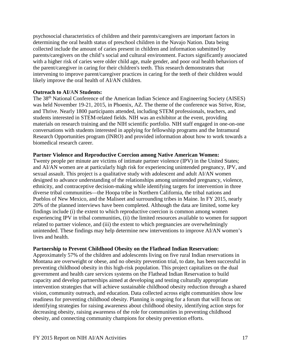psychosocial characteristics of children and their parents/caregivers are important factors in determining the oral health status of preschool children in the Navajo Nation. Data being collected include the amount of caries present in children and information submitted by parents/caregivers on the child's social and cultural environment. Factors significantly associated with a higher risk of caries were older child age, male gender, and poor oral health behaviors of the parent/caregiver in caring for their children's teeth. This research demonstrates that intervening to improve parent/caregiver practices in caring for the teeth of their children would likely improve the oral health of AI/AN children.

#### <span id="page-17-0"></span>**Outreach to AI/**A**N Students:**

The 38th National Conference of the American Indian Science and Engineering Society (AISES) was held November 19-21, 2015, in Phoenix, AZ. The theme of the conference was Strive, Rise, and Thrive. Nearly 1800 participants attended, including STEM professionals, teachers, and students interested in STEM-related fields. NIH was an exhibitor at the event, providing materials on research training and the NIH scientific portfolio. NIH staff engaged in one-on-one conversations with students interested in applying for fellowship programs and the Intramural Research Opportunities program (INRO) and provided information about how to work towards a biomedical research career.

#### <span id="page-17-1"></span>**Partner Violence and Reproductive Coercion among Native American Women:**

Twenty people per minute are victims of intimate partner violence (IPV) in the United States; and AI/AN women are at particularly high risk for experiencing unintended pregnancy, IPV, and sexual assault. This project is a qualitative study with adolescent and adult AI/AN women designed to advance understanding of the relationships among unintended pregnancy, violence, ethnicity, and contraceptive decision-making while identifying targets for intervention in three diverse tribal communities—the Hoopa tribe in Northern California, the tribal nations and Pueblos of New Mexico, and the Maliseet and surrounding tribes in Maine. In FY 2015, nearly 20% of the planned interviews have been completed. Although the data are limited, some key findings include (i) the extent to which reproductive coercion is common among women experiencing IPV in tribal communities, (ii) the limited resources available to women for support related to partner violence, and (iii) the extent to which pregnancies are overwhelmingly unintended. These findings may help determine new interventions to improve AI/AN women's lives and health.

#### <span id="page-17-2"></span>**Partnership to Prevent Childhood Obesity on the Flathead Indian Reservation:**

Approximately 57% of the children and adolescents living on five rural Indian reservations in Montana are overweight or obese, and no obesity prevention trial, to date, has been successful in preventing childhood obesity in this high-risk population. This project capitalizes on the dual government and health care services systems on the Flathead Indian Reservation to build capacity and develop partnerships aimed at developing and testing culturally appropriate intervention strategies that will achieve sustainable childhood obesity reduction through a shared vision, community outreach, and education. Data collected across eight communities show low readiness for preventing childhood obesity. Planning is ongoing for a forum that will focus on: identifying strategies for raising awareness about childhood obesity, identifying action steps for decreasing obesity, raising awareness of the role for communities in preventing childhood obesity, and connecting community champions for obesity prevention efforts.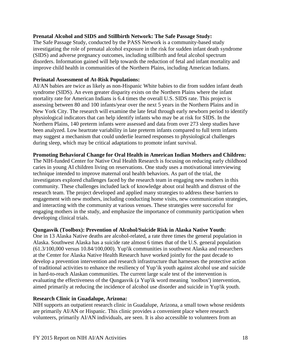#### <span id="page-18-0"></span>**Prenatal Alcohol and SIDS and Stillbirth Network: The Safe Passage Study:**

The Safe Passage Study, conducted by the PASS Network is a community-based study investigating the role of prenatal alcohol exposure in the risk for sudden infant death syndrome (SIDS) and adverse pregnancy outcomes, including stillbirth and fetal alcohol spectrum disorders. Information gained will help towards the reduction of fetal and infant mortality and improve child health in communities of the Northern Plains, including American Indians.

#### <span id="page-18-1"></span>**Perinatal Assessment of At-Risk Populations:**

AI/AN babies are twice as likely as non-Hispanic White babies to die from sudden infant death syndrome (SIDS). An even greater disparity exists on the Northern Plains where the infant mortality rate for American Indians is 6.4 times the overall U.S. SIDS rate. This project is assessing between 80 and 100 infants/year over the next 5 years in the Northern Plains and in New York City. The research will examine the late fetal through early newborn period to identify physiological indicators that can help identify infants who may be at risk for SIDS. In the Northern Plains, 140 preterm infants were assessed and data from over 273 sleep studies have been analyzed. Low heartrate variability in late preterm infants compared to full term infants may suggest a mechanism that could underlie learned responses to physiological challenges during sleep, which may be critical adaptations to promote infant survival.

#### <span id="page-18-2"></span>**Promoting Behavioral Change for Oral Health in American Indian Mothers and Children:**

The NIH-funded Center for Native Oral Health Research is focusing on reducing early childhood caries in young AI children living on reservations. One study uses a motivational interviewing technique intended to improve maternal oral health behaviors. As part of the trial, the investigators explored challenges faced by the research team in engaging new mothers in this community. These challenges included lack of knowledge about oral health and distrust of the research team. The project developed and applied many strategies to address these barriers to engagement with new mothers, including conducting home visits, new communication strategies, and interacting with the community at various venues. These strategies were successful for engaging mothers in the study, and emphasize the importance of community participation when developing clinical trials.

#### <span id="page-18-3"></span>**Qungasvik (Toolbox): Prevention of Alcohol/Suicide Risk in Alaska Native Youth:**

One in 13 Alaska Native deaths are alcohol-related, a rate three times the general population in Alaska. Southwest Alaska has a suicide rate almost 6 times that of the U.S. general population (61.3/100,000 versus 10.84/100,000). Yup'ik communities in southwest Alaska and researchers at the Center for Alaska Native Health Research have worked jointly for the past decade to develop a prevention intervention and research infrastructure that harnesses the protective action of traditional activities to enhance the resiliency of Yup'ik youth against alcohol use and suicide in hard-to-reach Alaskan communities. The current large scale test of the intervention is evaluating the effectiveness of the Qungasvik (a Yup'ik word meaning `toolbox') intervention, aimed primarily at reducing the incidence of alcohol use disorder and suicide in Yup'ik youth.

# <span id="page-18-4"></span>**Research Clinic in Guadalupe, Arizona:**

NIH supports an outpatient research clinic in Guadalupe, Arizona, a small town whose residents are primarily AI/AN or Hispanic. This clinic provides a convenient place where research volunteers, primarily AI/AN individuals, are seen. It is also accessible to volunteers from an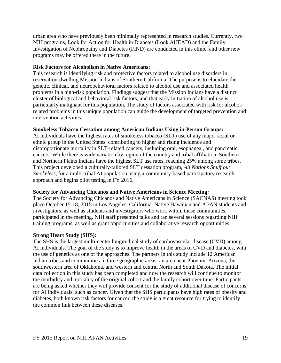urban area who have previously been minimally represented in research studies. Currently, two NIH programs, Look for Action for Health in Diabetes (Look AHEAD) and the Family Investigation of Nephropathy and Diabetes (FIND) are conducted in this clinic, and other new programs may be offered there in the future.

# <span id="page-19-0"></span>**Risk Factors for Alcoholism in Native Americans:**

This research is identifying risk and protective factors related to alcohol use disorders in reservation-dwelling Mission Indians of Southern California. The purpose is to elucidate the genetic, clinical, and neurobehavioral factors related to alcohol use and associated health problems in a high-risk population. Findings suggest that the Mission Indians have a distinct cluster of biological and behavioral risk factors, and that early initiation of alcohol use is particularly malignant for this population. The study of factors associated with risk for alcoholrelated problems in this unique population can guide the development of targeted prevention and intervention activities.

#### <span id="page-19-1"></span>**Smokeless Tobacco Cessation among American Indians Using in-Person Groups:**

AI individuals have the highest rates of smokeless tobacco (SLT) use of any major racial or ethnic group in the United States, contributing to higher and rising incidence and disproportionate mortality in SLT-related cancers, including oral, esophageal, and pancreatic cancers. While there is wide variation by region of the country and tribal affiliation, Southern and Northern Plains Indians have the highest SLT use rates, reaching 25% among some tribes. This project developed a culturally-tailored SLT cessation program, *All Nations Snuff out Smokeless*, for a multi-tribal AI population using a community-based participatory research approach and begins pilot testing in FY 2016.

#### <span id="page-19-2"></span>**Society for Advancing Chicanos and Native Americans in Science Meeting:**

The Society for Advancing Chicanos and Native Americans in Science (SACNAS) meeting took place October 15-18, 2015 in Los Angeles, California. Native Hawaiian and AI/AN students and investigators, as well as students and investigators who work within these communities, participated in the meeting. NIH staff presented talks and ran several sessions regarding NIH training programs, as well as grant opportunities and collaborative research opportunities.

#### <span id="page-19-3"></span>**Strong Heart Study (SHS):**

The SHS is the largest multi-center longitudinal study of cardiovascular disease (CVD) among AI individuals. The goal of the study is to improve health in the areas of CVD and diabetes, with the use of genetics as one of the approaches. The partners in this study include 12 American Indian tribes and communities in three geographic areas: an area near Phoenix, Arizona, the southwestern area of Oklahoma, and western and central North and South Dakota. The initial data collection in this study has been completed and now the research will continue to monitor the morbidity and mortality of the original cohort and the family cohort over time. Participants are being asked whether they will provide consent for the study of additional disease of concerns for AI individuals, such as cancer. Given that the SHS participants have high rates of obesity and diabetes, both known risk factors for cancer, the study is a great resource for trying to identify the common link between these diseases.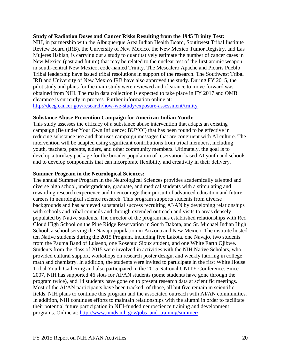#### <span id="page-20-0"></span>**Study of Radiation Doses and Cancer Risks Resulting from the 1945 Trinity Test:**

NIH, in partnership with the Albuquerque Area Indian Health Board, Southwest Tribal Institute Review Board (IRB), the University of New Mexico, the New Mexico Tumor Registry, and Las Mujeres Hablan, is carrying out a study to quantitatively estimate the number of cancer cases in New Mexico (past and future) that may be related to the nuclear test of the first atomic weapon in south-central New Mexico, code-named Trinity. The Mescalero Apache and Picuris Pueblo Tribal leadership have issued tribal resolutions in support of the research. The Southwest Tribal IRB and University of New Mexico IRB have also approved the study. During FY 2015, the pilot study and plans for the main study were reviewed and clearance to move forward was obtained from NIH. The main data collection is expected to take place in FY 2017 and OMB clearance is currently in process. Further information online at: <http://dceg.cancer.gov/research/how-we-study/exposure-assessment/trinity>

#### <span id="page-20-1"></span>**Substance Abuse Prevention Campaign for American Indian Youth:**

This study assesses the efficacy of a substance abuse intervention that adapts an existing campaign (Be under Your Own Influence; BUYOI) that has been found to be effective in reducing substance use and that uses campaign messages that are congruent with AI culture. The intervention will be adapted using significant contributions from tribal members, including youth, teachers, parents, elders, and other community members. Ultimately, the goal is to develop a turnkey package for the broader population of reservation-based AI youth and schools and to develop components that can incorporate flexibility and creativity in their delivery.

#### <span id="page-20-2"></span>**Summer Program in the Neurological Sciences:**

The annual Summer Program in the Neurological Sciences provides academically talented and diverse high school, undergraduate, graduate, and medical students with a stimulating and rewarding research experience and to encourage their pursuit of advanced education and future careers in neurological science research. This program supports students from diverse backgrounds and has achieved substantial success recruiting AI/AN by developing relationships with schools and tribal councils and through extended outreach and visits to areas densely populated by Native students. The director of the program has established relationships with Red Cloud High School on the Pine Ridge Reservation in South Dakota, and St. Michael Indian High School, a school serving the Navajo population in Arizona and New Mexico. The institute hosted ten Native students during the 2015 Program, including five Lakota, one Navajo, two students from the Pauma Band of Luiseno, one Rosebud Sioux student, and one White Earth Ojibwe. Students from the class of 2015 were involved in activities with the NIH Native Scholars, who provided cultural support, workshops on research poster design, and weekly tutoring in college math and chemistry. In addition, the students were invited to participate in the first White House Tribal Youth Gathering and also participated in the 2015 National UNITY Conference. Since 2007, NIH has supported 46 slots for AI/AN students (some students have gone through the program twice), and 14 students have gone on to present research data at scientific meetings. Most of the AI/AN participants have been tracked; of those, all but five remain in scientific fields. NIH plans to continue this program and the associated outreach with AI/AN communities. In addition, NIH continues efforts to maintain relationships with the alumni in order to facilitate their potential future participation in NIH-funded neuroscience training and development programs. Online at: [http://www.ninds.nih.gov/jobs\\_and\\_training/summer/](http://www.ninds.nih.gov/jobs_and_training/summer/)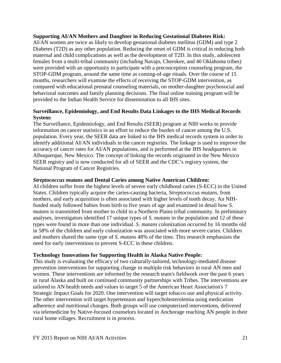#### <span id="page-21-0"></span>**Supporting AI/AN Mothers and Daughter in Reducing Gestational Diabetes Risk:**

AI/AN women are twice as likely to develop gestational diabetes mellitus (GDM) and type 2 Diabetes (T2D) as any other population. Reducing the onset of GDM is critical in reducing both maternal and child complications as well as the development of T2D. In this study, adolescent females from a multi-tribal community (including Navajo, Cherokee, and 40 Oklahoma tribes) were provided with an opportunity to participate with a preconception counseling program, the STOP-GDM program, around the same time as coming-of-age rituals. Over the course of 15 months, researchers will examine the effects of receiving the STOP-GDM intervention, as compared with educational prenatal counseling materials, on mother-daughter psychosocial and behavioral outcomes and family planning decisions. The final online training program will be provided to the Indian Health Service for dissemination to all IHS sites.

#### <span id="page-21-1"></span>**Surveillance, Epidemiology, and End Results Data Linkages to the IHS Medical Records System:**

The Surveillance, Epidemiology, and End Results (SEER) program at NIH works to provide information on cancer statistics in an effort to reduce the burden of cancer among the U.S. population. Every year, the SEER data are linked to the IHS medical records system in order to identify additional AI/AN individuals in the cancer registries. The linkage is used to improve the accuracy of cancer rates for AI/AN populations, and is performed at the IHS headquarters in Albuquerque, New Mexico. The concept of linking the records originated in the New Mexico SEER registry and is now conducted for all of SEER and the CDC's registry system, the National Program of Cancer Registries.

#### <span id="page-21-2"></span>*Streptococcus mutans* **and Dental Caries among Native American Children:**

AI children suffer from the highest levels of severe early childhood caries (S-ECC) in the United States. Children typically acquire the caries-causing bacteria, *Streptococcus mutans*, from mothers, and early acquisition is often associated with higher levels of tooth decay. An NIHfunded study followed babies from birth to five years of age and examined in detail how *S. mutans* is transmitted from mother to child in a Northern Plains tribal community. In preliminary analyses, investigators identified 17 unique types of *S. mutans* in the population and 12 of these types were found in more than one individual. *S. mutans* colonization occurred by 16 months old in 58% of the children and early colonization was associated with more severe caries. Children and mothers shared the same type of *S. mutans* 48% of the time. This research emphasizes the need for early interventions to prevent S-ECC in these children.

#### <span id="page-21-3"></span>**Technology Innovations for Supporting Health in Alaska Native People:**

This study is evaluating the efficacy of two culturally-tailored, technology-mediated disease prevention interventions for supporting change in multiple risk behaviors in rural AN men and women. These interventions are informed by the research team's fieldwork over the past 6 years in rural Alaska and built on continued community partnerships with Tribes. The interventions are tailored to AN health needs and values to target 5 of the American Heart Association's 7 Strategic Impact Goals for 2020. One intervention will target tobacco use and physical activity. The other intervention will target hypertension and hypercholesterolemia using medication adherence and nutritional changes. Both groups will use computerized interventions, delivered via telemedicine by Native-focused counselors located in Anchorage reaching AN people in their rural home villages. Recruitment is in process.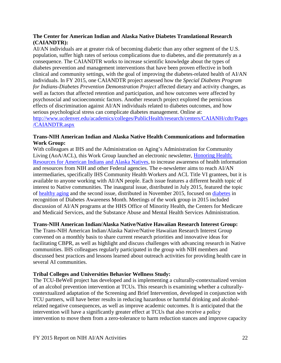# <span id="page-22-0"></span>**The Center for American Indian and Alaska Native Diabetes Translational Research (CAIANDTR):**

AI/AN individuals are at greater risk of becoming diabetic than any other segment of the U.S. population, suffer high rates of serious complications due to diabetes, and die prematurely as a consequence. The CAIANDTR works to increase scientific knowledge about the types of diabetes prevention and management interventions that have been proven effective in both clinical and community settings, with the goal of improving the diabetes-related health of AI/AN individuals. In FY 2015, one CAIANDTR project assessed how the *Special Diabetes Program for Indians-Diabetes Prevention Demonstration Project* affected dietary and activity changes, as well as factors that affected retention and participation, and how outcomes were affected by psychosocial and socioeconomic factors. Another research project explored the pernicious effects of discrimination against AI/AN individuals related to diabetes outcomes, and how serious psychological stress can complicate diabetes management. Online at: [http://www.ucdenver.edu/academics/colleges/PublicHealth/research/centers/CAIANH/cdtr/Pages](http://www.ucdenver.edu/academics/colleges/PublicHealth/research/centers/CAIANH/cdtr/Pages/CAIANDTR.aspx) [/CAIANDTR.aspx](http://www.ucdenver.edu/academics/colleges/PublicHealth/research/centers/CAIANH/cdtr/Pages/CAIANDTR.aspx)

#### <span id="page-22-1"></span>**Trans-NIH American Indian and Alaska Native Health Communications and Information Work Group:**

With colleagues at IHS and the Administration on Aging's Administration for Community Living (AoA/ACL), this Work Group launched an electronic newsletter, [Honoring Health:](http://www.niams.nih.gov/News_and_Events/AIAN_Honoring_Health/)  [Resources for American Indians and Alaska Natives,](http://www.niams.nih.gov/News_and_Events/AIAN_Honoring_Health/) to increase awareness of health information and resources from NIH and other Federal agencies. The e-newsletter aims to reach AI/AN intermediaries, specifically IHS Community Health Workers and ACL Title VI grantees, but it is available to anyone working with AI/AN people. Each issue features a different health topic of interest to Native communities. The inaugural issue, distributed in July 2015, featured the topic of [healthy aging](http://www.niams.nih.gov/News_and_Events/AIAN_Honoring_Health/2015/JulyNews.asp) and the second issue, distributed in November 2015, focused on [diabetes](http://www.niams.nih.gov/News_and_Events/AIAN_Honoring_Health/2015/NovemberNews.asp) in recognition of Diabetes Awareness Month. Meetings of the work group in 2015 included discussion of AI/AN programs at the HHS Office of Minority Health, the Centers for Medicare and Medicaid Services, and the Substance Abuse and Mental Health Services Administration.

# <span id="page-22-2"></span>**Trans-NIH American Indian/Alaska Native/Native Hawaiian Research Interest Group:**

The Trans-NIH American Indian/Alaska Native/Native Hawaiian Research Interest Group convened on a monthly basis to share current research priorities and innovative ideas for facilitating CBPR, as well as highlight and discuss challenges with advancing research in Native communities. IHS colleagues regularly participated in the group with NIH members and discussed best practices and lessons learned about outreach activities for providing health care in several AI communities.

# <span id="page-22-3"></span>**Tribal Colleges and Universities Behavior Wellness Study:**

The TCU-BeWell project has developed and is implementing a culturally-contextualized version of an alcohol prevention intervention at TCUs. This research is examining whether a culturallycontextualized adaptation of the Screening and Brief Intervention, developed in conjunction with TCU partners, will have better results in reducing hazardous or harmful drinking and alcoholrelated negative consequences, as well as improve academic outcomes. It is anticipated that the intervention will have a significantly greater effect at TCUs that also receive a policy intervention to move them from a zero-tolerance to harm reduction stances and improve capacity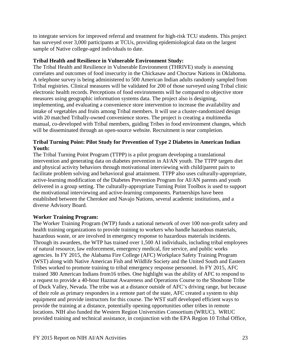to integrate services for improved referral and treatment for high-risk TCU students. This project has surveyed over 3,000 participants at TCUs, providing epidemiological data on the largest sample of Native college-aged individuals to date.

#### <span id="page-23-0"></span>**Tribal Health and Resilience in Vulnerable Environment Study:**

The Tribal Health and Resilience in Vulnerable Environment (THRIVE) study is assessing correlates and outcomes of food insecurity in the Chickasaw and Choctaw Nations in Oklahoma. A telephone survey is being administered to 500 American Indian adults randomly sampled from Tribal registries. Clinical measures will be validated for 200 of those surveyed using Tribal clinic electronic health records. Perceptions of food environments will be compared to objective store measures using geographic information systems data. The project also is designing, implementing, and evaluating a convenience store intervention to increase the availability and intake of vegetables and fruits among Tribal members. It will use a cluster-randomized design with 20 matched Tribally-owned convenience stores. The project is creating a multimedia manual, co-developed with Tribal members, guiding Tribes in food environment changes, which will be disseminated through an open-source website. Recruitment is near completion.

# <span id="page-23-1"></span>**Tribal Turning Point: Pilot Study for Prevention of Type 2 Diabetes in American Indian Youth:**

The Tribal Turning Point Program (TTPP) is a pilot program developing a translational intervention and generating data on diabetes prevention in AI/AN youth. The TTPP targets diet and physical activity behaviors through motivational interviewing with child/parent pairs to facilitate problem solving and behavioral goal attainment. TTPP also uses culturally-appropriate, active-learning modification of the Diabetes Prevention Program for AI/AN parents and youth delivered in a group setting. The culturally-appropriate Turning Point Toolbox is used to support the motivational interviewing and active-learning components. Partnerships have been established between the Cherokee and Navajo Nations, several academic institutions, and a diverse Advisory Board.

# <span id="page-23-2"></span>**Worker Training Program:**

The Worker Training Program (WTP) funds a national network of over 100 non-profit safety and health training organizations to provide training to workers who handle hazardous materials, hazardous waste, or are involved in emergency response to hazardous materials incidents. Through its awardees, the WTP has trained over 1,500 AI individuals, including tribal employees of natural resource, law enforcement, emergency medical, fire service, and public works agencies. In FY 2015, the Alabama Fire College (AFC) Workplace Safety Training Program (WST) along with Native American Fish and Wildlife Society and the United South and Eastern Tribes worked to promote training to tribal emergency response personnel. In FY 2015, AFC trained 380 American Indians from16 tribes. One highlight was the ability of AFC to respond to a request to provide a 40-hour Hazmat Awareness and Operations Course to the Shoshone Tribe of Duck Valley, Nevada. The tribe was at a distance outside of AFC's driving range, but because of their role as primary responders in a remote part of the state, AFC created a system to ship equipment and provide instructors for this course. The WST staff developed efficient ways to provide the training at a distance, potentially opening opportunities other tribes in remote locations. NIH also funded the Western Region Universities Consortium (WRUC). WRUC provided training and technical assistance, in conjunction with the EPA Region 10 Tribal Office,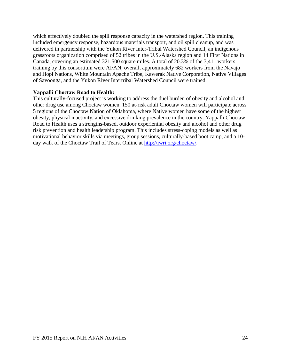which effectively doubled the spill response capacity in the watershed region. This training included emergency response, hazardous materials transport, and oil spill cleanup, and was delivered in partnership with the Yukon River Inter-Tribal Watershed Council, an indigenous grassroots organization comprised of 52 tribes in the U.S./Alaska region and 14 First Nations in Canada, covering an estimated 321,500 square miles. A total of 20.3% of the 3,411 workers training by this consortium were AI/AN; overall, approximately 682 workers from the Navajo and Hopi Nations, White Mountain Apache Tribe, Kawerak Native Corporation, Native Villages of Savoonga, and the Yukon River Intertribal Watershed Council were trained.

#### <span id="page-24-0"></span>**Yappalli Choctaw Road to Health:**

This culturally-focused project is working to address the duel burden of obesity and alcohol and other drug use among Choctaw women. 150 at-risk adult Choctaw women will participate across 5 regions of the Choctaw Nation of Oklahoma, where Native women have some of the highest obesity, physical inactivity, and excessive drinking prevalence in the country. Yappalli Choctaw Road to Health uses a strengths-based, outdoor experiential obesity and alcohol and other drug risk prevention and health leadership program. This includes stress-coping models as well as motivational behavior skills via meetings, group sessions, culturally-based boot camp, and a 10 day walk of the Choctaw Trail of Tears. Online at [http://iwri.org/choctaw/.](http://iwri.org/choctaw/)